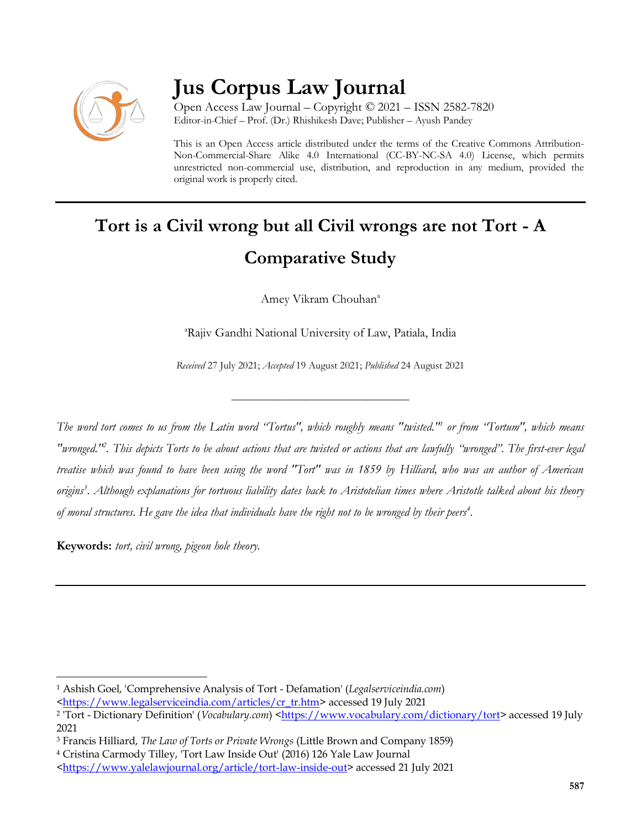

## **Jus Corpus Law Journal**

Open Access Law Journal – Copyright © 2021 – ISSN 2582-7820 Editor-in-Chief – Prof. (Dr.) Rhishikesh Dave; Publisher – Ayush Pandey

This is an Open Access article distributed under the terms of the Creative Commons Attribution-Non-Commercial-Share Alike 4.0 International (CC-BY-NC-SA 4.0) License, which permits unrestricted non-commercial use, distribution, and reproduction in any medium, provided the original work is properly cited.

# **Tort is a Civil wrong but all Civil wrongs are not Tort - A Comparative Study**

Amey Vikram Chouhan<sup>a</sup>

<sup>a</sup>Rajiv Gandhi National University of Law, Patiala, India

*Received* 27 July 2021; *Accepted* 19 August 2021; *Published* 24 August 2021

\_\_\_\_\_\_\_\_\_\_\_\_\_\_\_\_\_\_\_\_\_\_\_\_\_\_\_\_\_\_\_\_\_\_

*The word tort comes to us from the Latin word "Tortus", which roughly means "twisted."<sup>1</sup> or from "Tortum", which means "wronged."<sup>2</sup> . This depicts Torts to be about actions that are twisted or actions that are lawfully "wronged". The first-ever legal treatise which was found to have been using the word "Tort" was in 1859 by Hilliard, who was an author of American origins<sup>3</sup> . Although explanations for tortuous liability dates back to Aristotelian times where Aristotle talked about his theory of moral structures. He gave the idea that individuals have the right not to be wronged by their peers<sup>4</sup> .*

**Keywords:** *tort, civil wrong, pigeon hole theory.*

 $\overline{a}$ <sup>1</sup> Ashish Goel, 'Comprehensive Analysis of Tort - Defamation' (*Legalserviceindia.com*)

[<sup>&</sup>lt;https://www.legalserviceindia.com/articles/cr\\_tr.htm>](https://www.legalserviceindia.com/articles/cr_tr.htm) accessed 19 July 2021

<sup>&</sup>lt;sup>2</sup> 'Tort - Dictionary Definition' (*Vocabulary.com*) [<https://www.vocabulary.com/dictionary/tort>](https://www.vocabulary.com/dictionary/tort) accessed 19 July 2021

<sup>3</sup> Francis Hilliard, *The Law of Torts or Private Wrongs* (Little Brown and Company 1859)

<sup>4</sup> Cristina Carmody Tilley, 'Tort Law Inside Out' (2016) 126 Yale Law Journal

[<sup>&</sup>lt;https://www.yalelawjournal.org/article/tort-law-inside-out>](https://www.yalelawjournal.org/article/tort-law-inside-out) accessed 21 July 2021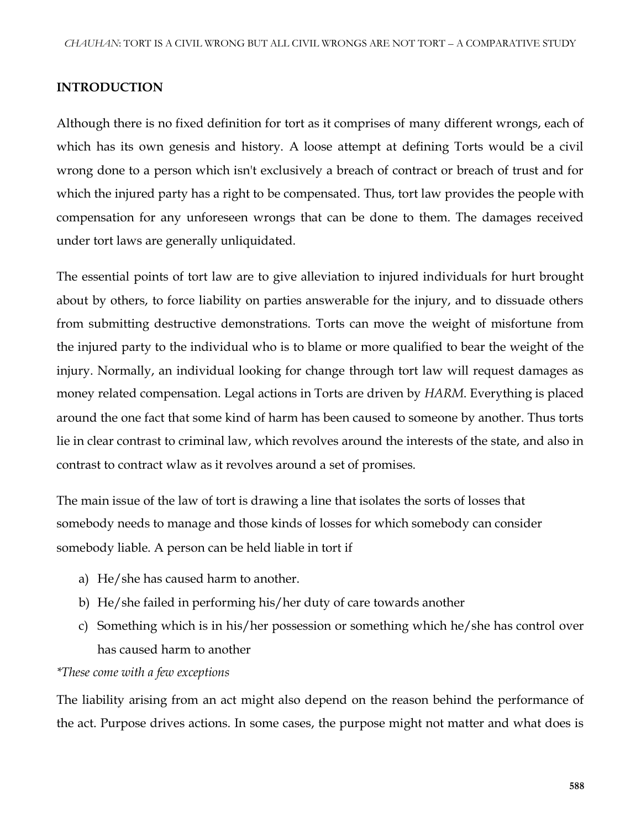#### **INTRODUCTION**

Although there is no fixed definition for tort as it comprises of many different wrongs, each of which has its own genesis and history. A loose attempt at defining Torts would be a civil wrong done to a person which isn't exclusively a breach of contract or breach of trust and for which the injured party has a right to be compensated. Thus, tort law provides the people with compensation for any unforeseen wrongs that can be done to them. The damages received under tort laws are generally unliquidated.

The essential points of tort law are to give alleviation to injured individuals for hurt brought about by others, to force liability on parties answerable for the injury, and to dissuade others from submitting destructive demonstrations. Torts can move the weight of misfortune from the injured party to the individual who is to blame or more qualified to bear the weight of the injury. Normally, an individual looking for change through tort law will request damages as money related compensation. Legal actions in Torts are driven by *HARM*. Everything is placed around the one fact that some kind of harm has been caused to someone by another. Thus torts lie in clear contrast to criminal law, which revolves around the interests of the state, and also in contrast to contract wlaw as it revolves around a set of promises.

The main issue of the law of tort is drawing a line that isolates the sorts of losses that somebody needs to manage and those kinds of losses for which somebody can consider somebody liable. A person can be held liable in tort if

- a) He/she has caused harm to another.
- b) He/she failed in performing his/her duty of care towards another
- c) Something which is in his/her possession or something which he/she has control over has caused harm to another

#### *\*These come with a few exceptions*

The liability arising from an act might also depend on the reason behind the performance of the act. Purpose drives actions. In some cases, the purpose might not matter and what does is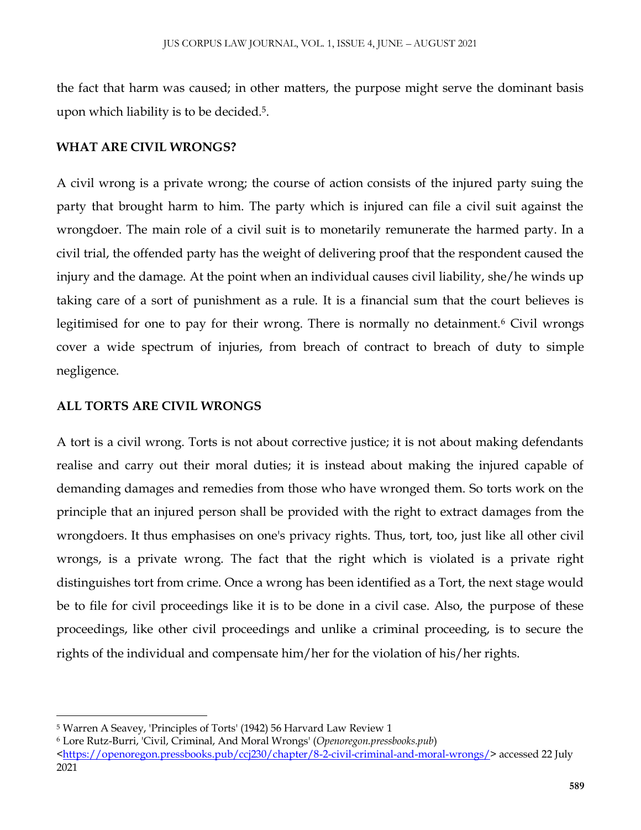the fact that harm was caused; in other matters, the purpose might serve the dominant basis upon which liability is to be decided.<sup>5</sup> .

#### **WHAT ARE CIVIL WRONGS?**

A civil wrong is a private wrong; the course of action consists of the injured party suing the party that brought harm to him. The party which is injured can file a civil suit against the wrongdoer. The main role of a civil suit is to monetarily remunerate the harmed party. In a civil trial, the offended party has the weight of delivering proof that the respondent caused the injury and the damage. At the point when an individual causes civil liability, she/he winds up taking care of a sort of punishment as a rule. It is a financial sum that the court believes is legitimised for one to pay for their wrong. There is normally no detainment.<sup>6</sup> Civil wrongs cover a wide spectrum of injuries, from breach of contract to breach of duty to simple negligence.

#### **ALL TORTS ARE CIVIL WRONGS**

 $\overline{\phantom{a}}$ 

A tort is a civil wrong. Torts is not about corrective justice; it is not about making defendants realise and carry out their moral duties; it is instead about making the injured capable of demanding damages and remedies from those who have wronged them. So torts work on the principle that an injured person shall be provided with the right to extract damages from the wrongdoers. It thus emphasises on one's privacy rights. Thus, tort, too, just like all other civil wrongs, is a private wrong. The fact that the right which is violated is a private right distinguishes tort from crime. Once a wrong has been identified as a Tort, the next stage would be to file for civil proceedings like it is to be done in a civil case. Also, the purpose of these proceedings, like other civil proceedings and unlike a criminal proceeding, is to secure the rights of the individual and compensate him/her for the violation of his/her rights.

<sup>5</sup> Warren A Seavey, 'Principles of Torts' (1942) 56 Harvard Law Review 1

<sup>6</sup> Lore Rutz-Burri, 'Civil, Criminal, And Moral Wrongs' (*Openoregon.pressbooks.pub*)

[<sup>&</sup>lt;https://openoregon.pressbooks.pub/ccj230/chapter/8-2-civil-criminal-and-moral-wrongs/>](https://openoregon.pressbooks.pub/ccj230/chapter/8-2-civil-criminal-and-moral-wrongs/) accessed 22 July 2021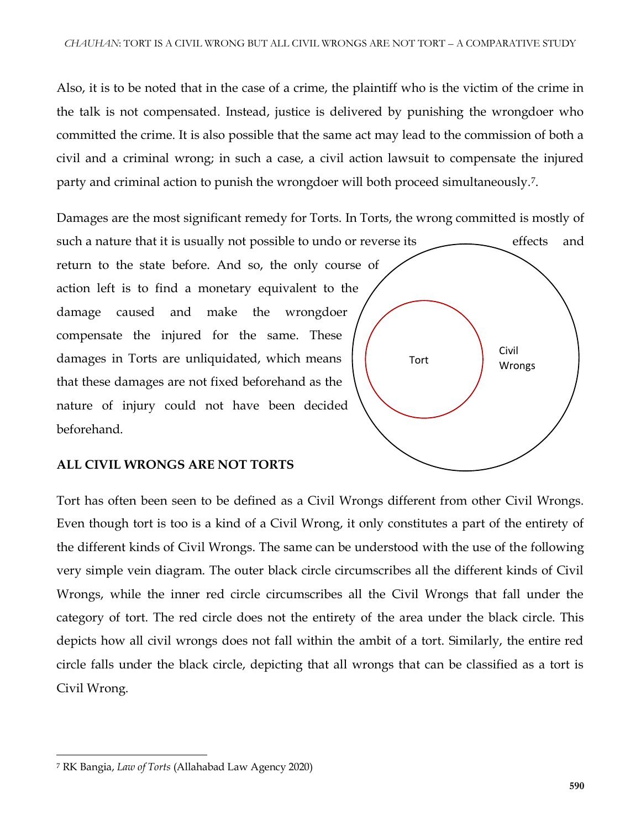Also, it is to be noted that in the case of a crime, the plaintiff who is the victim of the crime in the talk is not compensated. Instead, justice is delivered by punishing the wrongdoer who committed the crime. It is also possible that the same act may lead to the commission of both a civil and a criminal wrong; in such a case, a civil action lawsuit to compensate the injured party and criminal action to punish the wrongdoer will both proceed simultaneously.<sup>7</sup> .

Damages are the most significant remedy for Torts. In Torts, the wrong committed is mostly of such a nature that it is usually not possible to undo or reverse its effects and return to the state before. And so, the only course of action left is to find a monetary equivalent to the damage caused and make the wrongdoer compensate the injured for the same. These damages in Torts are unliquidated, which means that these damages are not fixed beforehand as the nature of injury could not have been decided beforehand. Civil Tort **Wrongs** 

#### **ALL CIVIL WRONGS ARE NOT TORTS**

Tort has often been seen to be defined as a Civil Wrongs different from other Civil Wrongs. Even though tort is too is a kind of a Civil Wrong, it only constitutes a part of the entirety of the different kinds of Civil Wrongs. The same can be understood with the use of the following very simple vein diagram. The outer black circle circumscribes all the different kinds of Civil Wrongs, while the inner red circle circumscribes all the Civil Wrongs that fall under the category of tort. The red circle does not the entirety of the area under the black circle. This depicts how all civil wrongs does not fall within the ambit of a tort. Similarly, the entire red circle falls under the black circle, depicting that all wrongs that can be classified as a tort is Civil Wrong.

 $\overline{\phantom{a}}$ <sup>7</sup> RK Bangia, *Law of Torts* (Allahabad Law Agency 2020)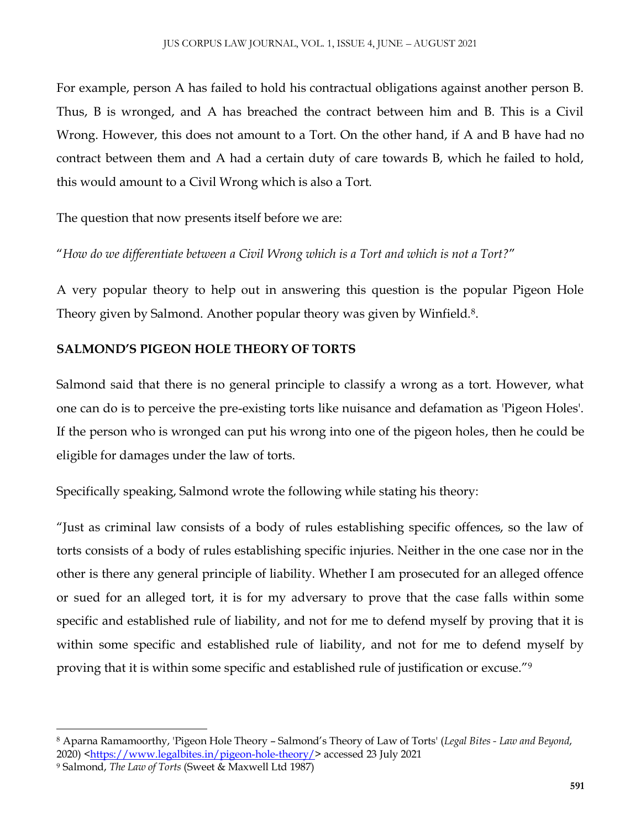For example, person A has failed to hold his contractual obligations against another person B. Thus, B is wronged, and A has breached the contract between him and B. This is a Civil Wrong. However, this does not amount to a Tort. On the other hand, if A and B have had no contract between them and A had a certain duty of care towards B, which he failed to hold, this would amount to a Civil Wrong which is also a Tort.

The question that now presents itself before we are:

"*How do we differentiate between a Civil Wrong which is a Tort and which is not a Tort?*"

A very popular theory to help out in answering this question is the popular Pigeon Hole Theory given by Salmond. Another popular theory was given by Winfield.<sup>8</sup>.

#### **SALMOND'S PIGEON HOLE THEORY OF TORTS**

Salmond said that there is no general principle to classify a wrong as a tort. However, what one can do is to perceive the pre-existing torts like nuisance and defamation as 'Pigeon Holes'. If the person who is wronged can put his wrong into one of the pigeon holes, then he could be eligible for damages under the law of torts.

Specifically speaking, Salmond wrote the following while stating his theory:

"Just as criminal law consists of a body of rules establishing specific offences, so the law of torts consists of a body of rules establishing specific injuries. Neither in the one case nor in the other is there any general principle of liability. Whether I am prosecuted for an alleged offence or sued for an alleged tort, it is for my adversary to prove that the case falls within some specific and established rule of liability, and not for me to defend myself by proving that it is within some specific and established rule of liability, and not for me to defend myself by proving that it is within some specific and established rule of justification or excuse."<sup>9</sup>

 $\overline{\phantom{a}}$ <sup>8</sup> Aparna Ramamoorthy, 'Pigeon Hole Theory – Salmond's Theory of Law of Torts' (*Legal Bites - Law and Beyond*, 2020) [<https://www.legalbites.in/pigeon-hole-theory/>](https://www.legalbites.in/pigeon-hole-theory/) accessed 23 July 2021

<sup>9</sup> Salmond, *The Law of Torts* (Sweet & Maxwell Ltd 1987)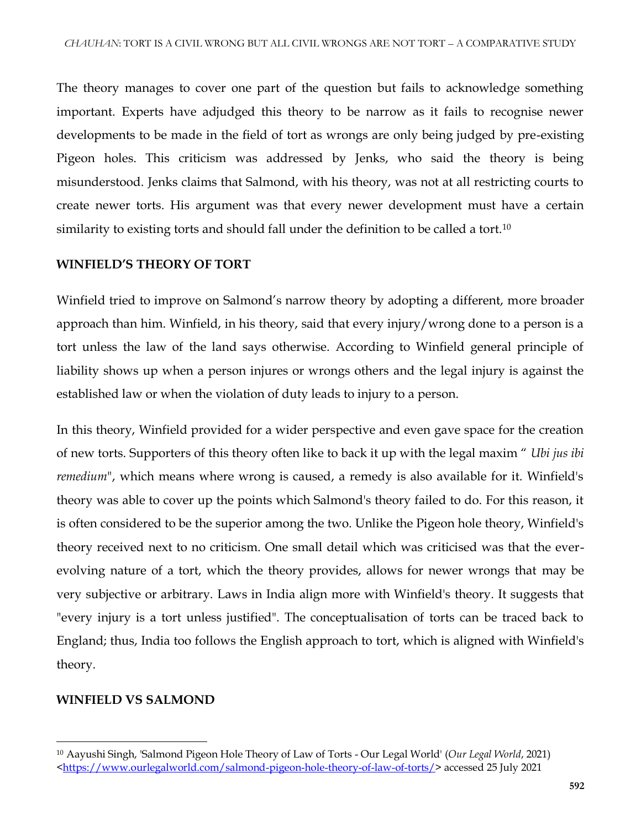The theory manages to cover one part of the question but fails to acknowledge something important. Experts have adjudged this theory to be narrow as it fails to recognise newer developments to be made in the field of tort as wrongs are only being judged by pre-existing Pigeon holes. This criticism was addressed by Jenks, who said the theory is being misunderstood. Jenks claims that Salmond, with his theory, was not at all restricting courts to create newer torts. His argument was that every newer development must have a certain similarity to existing torts and should fall under the definition to be called a tort.<sup>10</sup>

#### **WINFIELD'S THEORY OF TORT**

Winfield tried to improve on Salmond's narrow theory by adopting a different, more broader approach than him. Winfield, in his theory, said that every injury/wrong done to a person is a tort unless the law of the land says otherwise. According to Winfield general principle of liability shows up when a person injures or wrongs others and the legal injury is against the established law or when the violation of duty leads to injury to a person.

In this theory, Winfield provided for a wider perspective and even gave space for the creation of new torts. Supporters of this theory often like to back it up with the legal maxim " *Ubi jus ibi remedium*", which means where wrong is caused, a remedy is also available for it. Winfield's theory was able to cover up the points which Salmond's theory failed to do. For this reason, it is often considered to be the superior among the two. Unlike the Pigeon hole theory, Winfield's theory received next to no criticism. One small detail which was criticised was that the everevolving nature of a tort, which the theory provides, allows for newer wrongs that may be very subjective or arbitrary. Laws in India align more with Winfield's theory. It suggests that "every injury is a tort unless justified". The conceptualisation of torts can be traced back to England; thus, India too follows the English approach to tort, which is aligned with Winfield's theory.

### **WINFIELD VS SALMOND**

 $\overline{\phantom{a}}$ <sup>10</sup> Aayushi Singh, 'Salmond Pigeon Hole Theory of Law of Torts - Our Legal World' (*Our Legal World*, 2021) [<https://www.ourlegalworld.com/salmond-pigeon-hole-theory-of-law-of-torts/>](https://www.ourlegalworld.com/salmond-pigeon-hole-theory-of-law-of-torts/) accessed 25 July 2021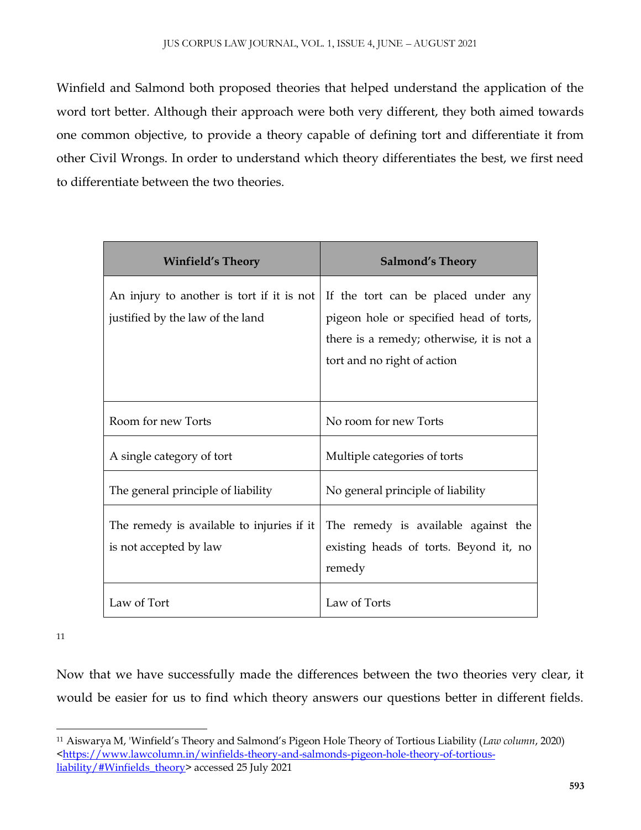Winfield and Salmond both proposed theories that helped understand the application of the word tort better. Although their approach were both very different, they both aimed towards one common objective, to provide a theory capable of defining tort and differentiate it from other Civil Wrongs. In order to understand which theory differentiates the best, we first need to differentiate between the two theories.

| <b>Winfield's Theory</b>                                                      | <b>Salmond's Theory</b>                                                        |
|-------------------------------------------------------------------------------|--------------------------------------------------------------------------------|
| An injury to another is tort if it is not<br>justified by the law of the land | If the tort can be placed under any<br>pigeon hole or specified head of torts, |
|                                                                               | there is a remedy; otherwise, it is not a                                      |
|                                                                               | tort and no right of action                                                    |
|                                                                               |                                                                                |
| Room for new Torts                                                            | No room for new Torts                                                          |
| A single category of tort                                                     | Multiple categories of torts                                                   |
| The general principle of liability                                            | No general principle of liability                                              |
| The remedy is available to injuries if it                                     | The remedy is available against the                                            |
| is not accepted by law                                                        | existing heads of torts. Beyond it, no                                         |
|                                                                               | remedy                                                                         |
| Law of Tort                                                                   | Law of Torts                                                                   |

11

Now that we have successfully made the differences between the two theories very clear, it would be easier for us to find which theory answers our questions better in different fields.

 $\overline{\phantom{a}}$ <sup>11</sup> Aiswarya M, 'Winfield's Theory and Salmond's Pigeon Hole Theory of Tortious Liability (*Law column*, 2020) [<https://www.lawcolumn.in/winfields-theory-and-salmonds-pigeon-hole-theory-of-tortious](https://www.lawcolumn.in/winfields-theory-and-salmonds-pigeon-hole-theory-of-tortious-liability/#Winfields_theory)[liability/#Winfields\\_theory>](https://www.lawcolumn.in/winfields-theory-and-salmonds-pigeon-hole-theory-of-tortious-liability/#Winfields_theory) accessed 25 July 2021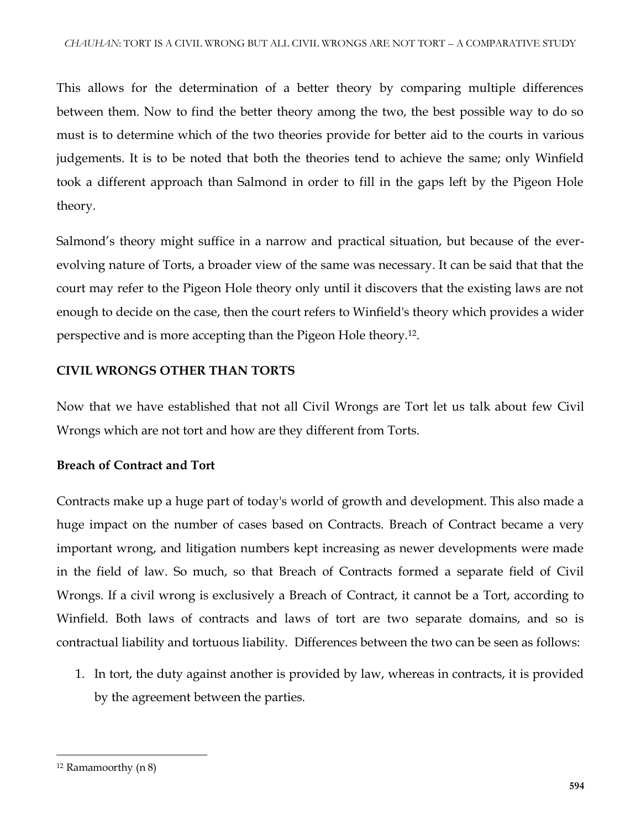This allows for the determination of a better theory by comparing multiple differences between them. Now to find the better theory among the two, the best possible way to do so must is to determine which of the two theories provide for better aid to the courts in various judgements. It is to be noted that both the theories tend to achieve the same; only Winfield took a different approach than Salmond in order to fill in the gaps left by the Pigeon Hole theory.

Salmond's theory might suffice in a narrow and practical situation, but because of the everevolving nature of Torts, a broader view of the same was necessary. It can be said that that the court may refer to the Pigeon Hole theory only until it discovers that the existing laws are not enough to decide on the case, then the court refers to Winfield's theory which provides a wider perspective and is more accepting than the Pigeon Hole theory.<sup>12</sup> .

#### **CIVIL WRONGS OTHER THAN TORTS**

Now that we have established that not all Civil Wrongs are Tort let us talk about few Civil Wrongs which are not tort and how are they different from Torts.

### **Breach of Contract and Tort**

Contracts make up a huge part of today's world of growth and development. This also made a huge impact on the number of cases based on Contracts. Breach of Contract became a very important wrong, and litigation numbers kept increasing as newer developments were made in the field of law. So much, so that Breach of Contracts formed a separate field of Civil Wrongs. If a civil wrong is exclusively a Breach of Contract, it cannot be a Tort, according to Winfield. Both laws of contracts and laws of tort are two separate domains, and so is contractual liability and tortuous liability. Differences between the two can be seen as follows:

1. In tort, the duty against another is provided by law, whereas in contracts, it is provided by the agreement between the parties.

 $\overline{\phantom{a}}$ 

<sup>12</sup> Ramamoorthy (n 8)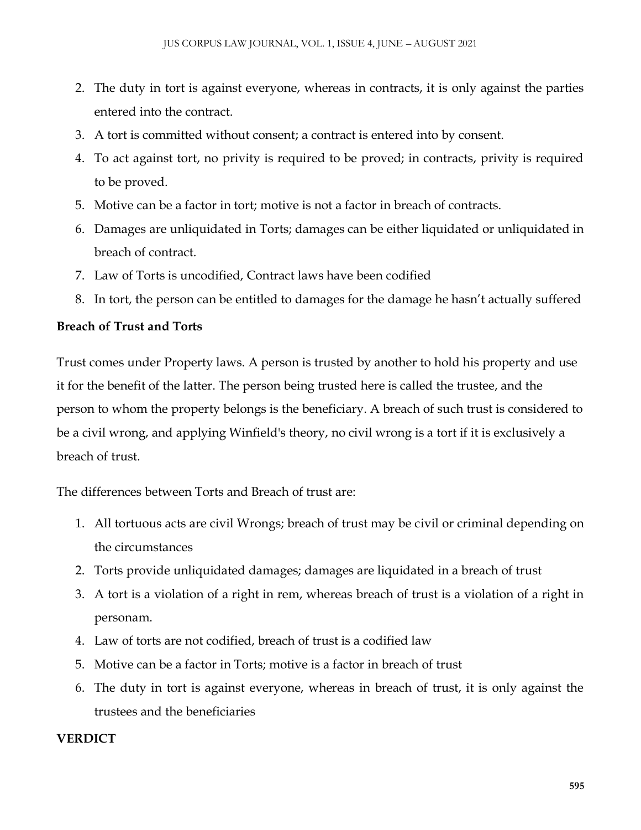- 2. The duty in tort is against everyone, whereas in contracts, it is only against the parties entered into the contract.
- 3. A tort is committed without consent; a contract is entered into by consent.
- 4. To act against tort, no privity is required to be proved; in contracts, privity is required to be proved.
- 5. Motive can be a factor in tort; motive is not a factor in breach of contracts.
- 6. Damages are unliquidated in Torts; damages can be either liquidated or unliquidated in breach of contract.
- 7. Law of Torts is uncodified, Contract laws have been codified
- 8. In tort, the person can be entitled to damages for the damage he hasn't actually suffered

#### **Breach of Trust and Torts**

Trust comes under Property laws. A person is trusted by another to hold his property and use it for the benefit of the latter. The person being trusted here is called the trustee, and the person to whom the property belongs is the beneficiary. A breach of such trust is considered to be a civil wrong, and applying Winfield's theory, no civil wrong is a tort if it is exclusively a breach of trust.

The differences between Torts and Breach of trust are:

- 1. All tortuous acts are civil Wrongs; breach of trust may be civil or criminal depending on the circumstances
- 2. Torts provide unliquidated damages; damages are liquidated in a breach of trust
- 3. A tort is a violation of a right in rem, whereas breach of trust is a violation of a right in personam.
- 4. Law of torts are not codified, breach of trust is a codified law
- 5. Motive can be a factor in Torts; motive is a factor in breach of trust
- 6. The duty in tort is against everyone, whereas in breach of trust, it is only against the trustees and the beneficiaries

### **VERDICT**